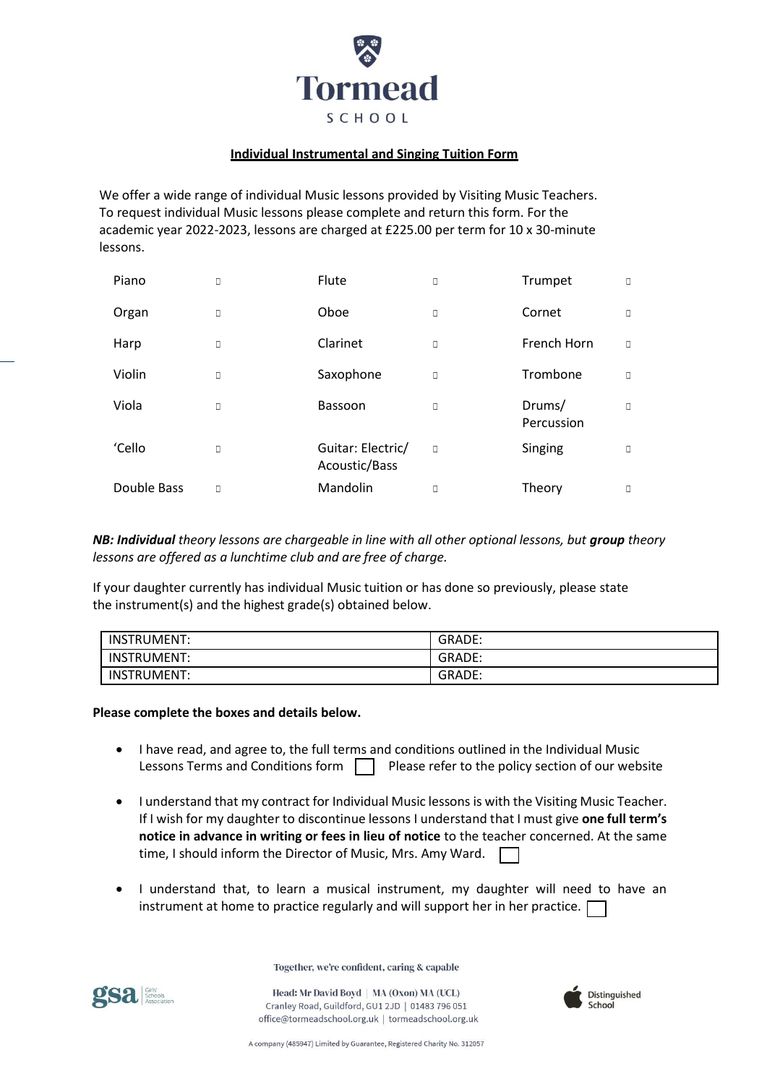

## **Individual Instrumental and Singing Tuition Form**

We offer a wide range of individual Music lessons provided by Visiting Music Teachers. To request individual Music lessons please complete and return this form. For the academic year 2022-2023, lessons are charged at £225.00 per term for 10 x 30-minute lessons.

| Piano       | $\Box$ | Flute                              | О      | Trumpet              | O |
|-------------|--------|------------------------------------|--------|----------------------|---|
| Organ       | $\Box$ | Oboe                               | О      | Cornet               | O |
| Harp        | $\Box$ | Clarinet                           | О      | French Horn          | O |
| Violin      | $\Box$ | Saxophone                          | О      | Trombone             | O |
| Viola       | $\Box$ | Bassoon                            | О      | Drums/<br>Percussion | O |
| 'Cello      | $\Box$ | Guitar: Electric/<br>Acoustic/Bass | $\Box$ | Singing              | O |
| Double Bass | П      | Mandolin                           | О      | Theory               | O |

*NB: Individual theory lessons are chargeable in line with all other optional lessons, but group theory lessons are offered as a lunchtime club and are free of charge.*

If your daughter currently has individual Music tuition or has done so previously, please state the instrument(s) and the highest grade(s) obtained below.

| <b>INSTRUMENT:</b> | GRADE: |
|--------------------|--------|
| INSTRUMENT:        | GRADE: |
| INSTRUMENT:        | GRADE: |

## **Please complete the boxes and details below.**

- I have read, and agree to, the full terms and conditions outlined in the Individual Music Lessons Terms and Conditions form  $\Box$  Please refer to the policy section of our website
- I understand that my contract for Individual Music lessons is with the Visiting Music Teacher. If I wish for my daughter to discontinue lessons I understand that I must give **one full term's notice in advance in writing or fees in lieu of notice** to the teacher concerned. At the same time, I should inform the Director of Music, Mrs. Amy Ward.
- I understand that, to learn a musical instrument, my daughter will need to have an instrument at home to practice regularly and will support her in her practice.

Together, we're confident, caring & capable

Head: Mr David Boyd | MA (Oxon) MA (UCL) Cranley Road, Guildford, GU1 2JD | 01483 796 051 office@tormeadschool.org.uk | tormeadschool.org.uk





A company (485947) Limited by Guarantee, Registered Charity No. 312057